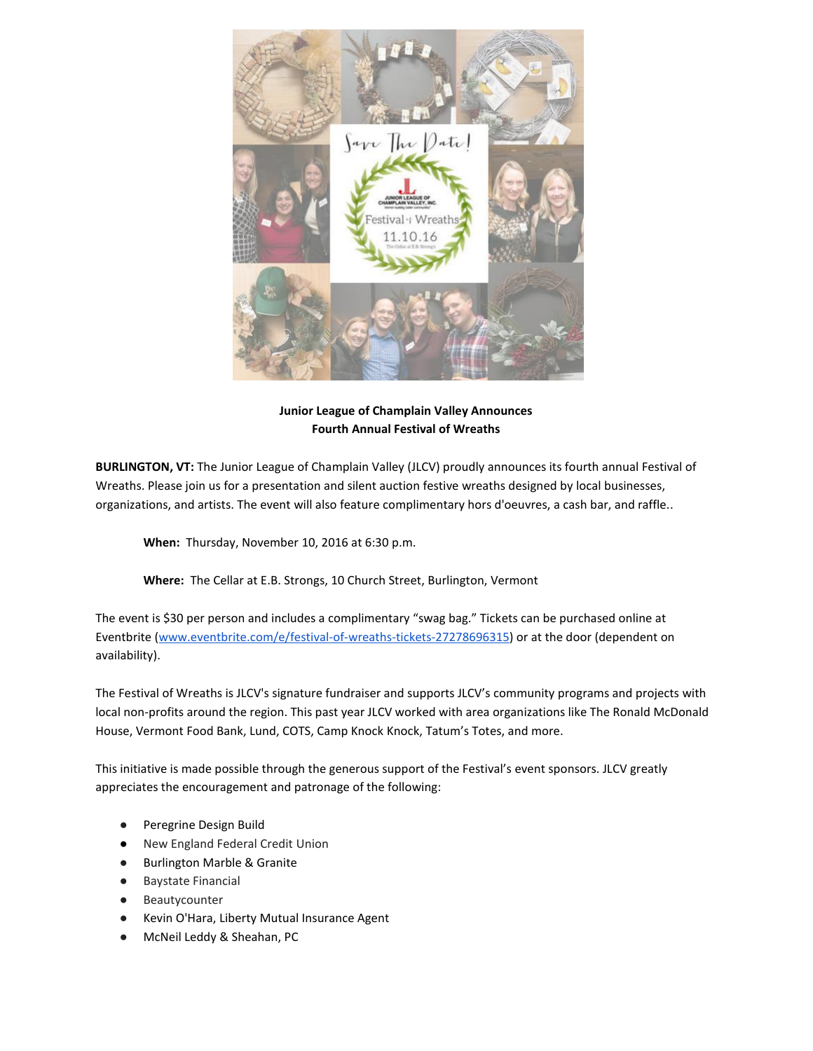

**Junior League of Champlain Valley Announces Fourth Annual Festival of Wreaths**

**BURLINGTON, VT:** The Junior League of Champlain Valley (JLCV) proudly announces its fourth annual Festival of Wreaths. Please join us for a presentation and silent auction festive wreaths designed by local businesses, organizations, and artists. The event will also feature complimentary hors d'oeuvres, a cash bar, and raffle..

**When:** Thursday, November 10, 2016 at 6:30 p.m.

**Where:** The Cellar at E.B. Strongs, 10 Church Street, Burlington, Vermont

The event is \$30 per person and includes a complimentary "swag bag." Tickets can be purchased online at Eventbrite [\(www.eventbrite.com/e/festival-of-wreaths-tickets-27278696315\)](https://www.eventbrite.com/e/festival-of-wreaths-tickets-27278696315) or at the door (dependent on availability).

The Festival of Wreaths is JLCV's signature fundraiser and supports JLCV's community programs and projects with local non-profits around the region. This past year JLCV worked with area organizations like The Ronald McDonald House, Vermont Food Bank, Lund, COTS, Camp Knock Knock, Tatum's Totes, and more.

This initiative is made possible through the generous support of the Festival's event sponsors. JLCV greatly appreciates the encouragement and patronage of the following:

- Peregrine Design Build
- New England Federal Credit Union
- Burlington Marble & Granite
- Baystate Financial
- Beautycounter
- Kevin O'Hara, Liberty Mutual Insurance Agent
- McNeil Leddy & Sheahan, PC